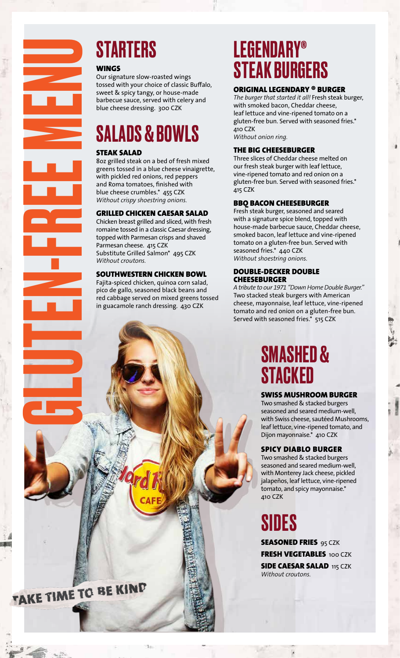

#### WINGS

Our signature slow-roasted wings tossed with your choice of classic Buffalo, sweet & spicy tangy, or house-made barbecue sauce, served with celery and blue cheese dressing. 300 CZK

## SALADS & BOWLS

#### STEAK SALAD

8oz grilled steak on a bed of fresh mixed greens tossed in a blue cheese vinaigrette, with pickled red onions, red peppers and Roma tomatoes, finished with blue cheese crumbles.\* 455 CZK *Without crispy shoestring onions.*

## GRILLED CHICKEN CAESAR SALAD

Chicken breast grilled and sliced, with fresh romaine tossed in a classic Caesar dressing, topped with Parmesan crisps and shaved Parmesan cheese. 415 CZK Substitute Grilled Salmon\* 495 CZK *Without croutons.* 

#### SOUTHWESTERN CHICKEN BOWL

Fajita-spiced chicken, quinoa corn salad, pico de gallo, seasoned black beans and red cabbage served on mixed greens tossed in guacamole ranch dressing. 430 CZK

## LEGENDARY® STEAK BURGERS

#### ORIGINAL LEGENDARY ® BURGER

*The burger that started it all!* Fresh steak burger, with smoked bacon, Cheddar cheese, leaf lettuce and vine-ripened tomato on a gluten-free bun. Served with seasoned fries.\* 410 CZK *Without onion ring.*

#### THE BIG CHEESEBURGER

Three slices of Cheddar cheese melted on our fresh steak burger with leaf lettuce, vine-ripened tomato and red onion on a gluten-free bun. Served with seasoned fries.\* 415 CZK

#### BBQ BACON CHEESEBURGER

Fresh steak burger, seasoned and seared with a signature spice blend, topped with house-made barbecue sauce, Cheddar cheese, smoked bacon, leaf lettuce and vine-ripened tomato on a gluten-free bun. Served with seasoned fries.\* 440 CZK *Without shoestring onions.*

#### DOUBLE-DECKER DOUBLE **CHEESEBURGER**

*A tribute to our 1971 "Down Home Double Burger."*  Two stacked steak burgers with American cheese, mayonnaise, leaf lettuce, vine-ripened tomato and red onion on a gluten-free bun. Served with seasoned fries.\* 515 CZK

## SMASHED & **STACKED**

## SWISS MUSHROOM BURGER

Two smashed & stacked burgers seasoned and seared medium-well, with Swiss cheese, sautéed Mushrooms, leaf lettuce, vine-ripened tomato, and Dijon mayonnaise.\* 410 CZK

#### SPICY DIABLO BURGER

Two smashed & stacked burgers seasoned and seared medium-well, with Monterey Jack cheese, pickled jalapeños, leaf lettuce, vine-ripened tomato, and spicy mayonnaise.\* 410 CZK

## SIDES

**SEASONED FRIES 95 CZK** FRESH VEGETABLES 100 CZK **SIDE CAESAR SALAD 115 CZK** *Without croutons.*